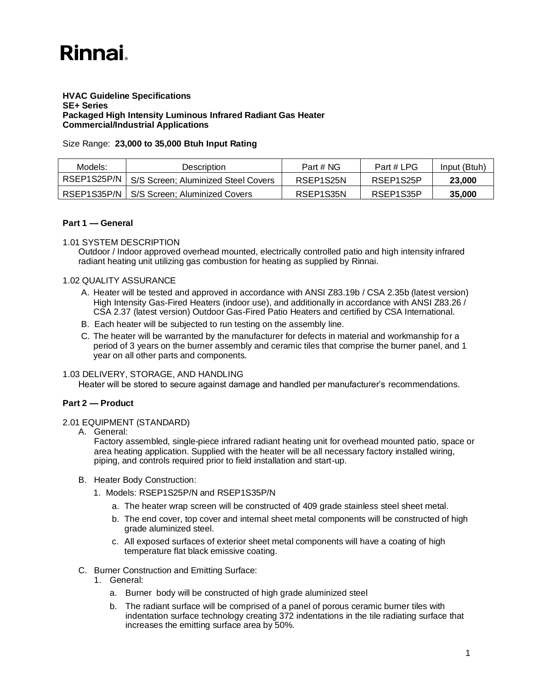# **Rinnai**

#### **HVAC Guideline Specifications SE+ Series Packaged High Intensity Luminous Infrared Radiant Gas Heater Commercial/Industrial Applications**

## Size Range: **23,000 to 35,000 Btuh Input Rating**

| Models:     | Description                         | Part # NG | Part # LPG | Input (Btuh) |
|-------------|-------------------------------------|-----------|------------|--------------|
| RSEP1S25P/N | S/S Screen; Aluminized Steel Covers | RSEP1S25N | RSEP1S25P  | 23,000       |
| RSEP1S35P/N | S/S Screen; Aluminized Covers       | RSEP1S35N | RSEP1S35P  | 35,000       |

## **Part 1 — General**

## 1.01 SYSTEM DESCRIPTION

Outdoor / Indoor approved overhead mounted, electrically controlled patio and high intensity infrared radiant heating unit utilizing gas combustion for heating as supplied by Rinnai.

## 1.02 QUALITY ASSURANCE

- A. Heater will be tested and approved in accordance with ANSI Z83.19b / CSA 2.35b (latest version) High Intensity Gas-Fired Heaters (indoor use), and additionally in accordance with ANSI Z83.26 / CSA 2.37 (latest version) Outdoor Gas-Fired Patio Heaters and certified by CSA International.
- B. Each heater will be subjected to run testing on the assembly line.
- C. The heater will be warranted by the manufacturer for defects in material and workmanship for a period of 3 years on the burner assembly and ceramic tiles that comprise the burner panel, and 1 year on all other parts and components.

## 1.03 DELIVERY, STORAGE, AND HANDLING

Heater will be stored to secure against damage and handled per manufacturer's recommendations.

## **Part 2 — Product**

#### 2.01 EQUIPMENT (STANDARD)

A. General:

Factory assembled, single-piece infrared radiant heating unit for overhead mounted patio, space or area heating application. Supplied with the heater will be all necessary factory installed wiring, piping, and controls required prior to field installation and start-up.

- B. Heater Body Construction:
	- 1. Models: RSEP1S25P/N and RSEP1S35P/N
		- a. The heater wrap screen will be constructed of 409 grade stainless steel sheet metal.
		- b. The end cover, top cover and internal sheet metal components will be constructed of high grade aluminized steel.
		- c. All exposed surfaces of exterior sheet metal components will have a coating of high temperature flat black emissive coating.
- C. Burner Construction and Emitting Surface:
	- 1. General:
		- a. Burner body will be constructed of high grade aluminized steel
		- b. The radiant surface will be comprised of a panel of porous ceramic burner tiles with indentation surface technology creating 372 indentations in the tile radiating surface that increases the emitting surface area by 50%.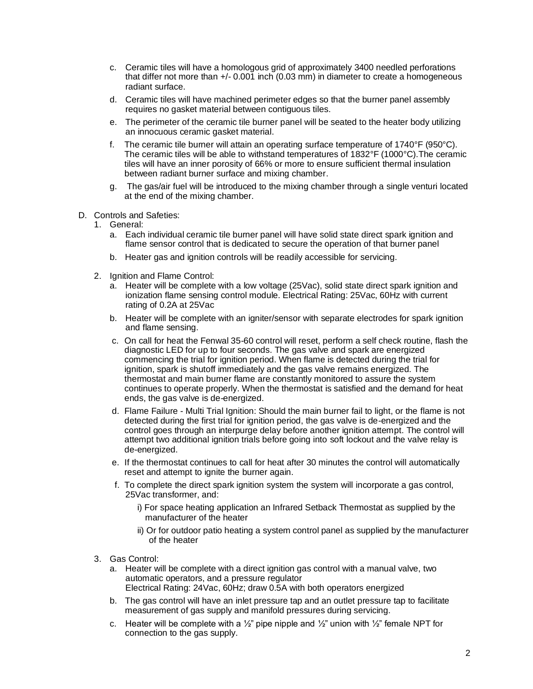- c. Ceramic tiles will have a homologous grid of approximately 3400 needled perforations that differ not more than  $+/-0.001$  inch  $(0.03 \text{ mm})$  in diameter to create a homogeneous radiant surface.
- d. Ceramic tiles will have machined perimeter edges so that the burner panel assembly requires no gasket material between contiguous tiles.
- e. The perimeter of the ceramic tile burner panel will be seated to the heater body utilizing an innocuous ceramic gasket material.
- f. The ceramic tile burner will attain an operating surface temperature of 1740°F (950°C). The ceramic tiles will be able to withstand temperatures of 1832°F (1000°C).The ceramic tiles will have an inner porosity of 66% or more to ensure sufficient thermal insulation between radiant burner surface and mixing chamber.
- g. The gas/air fuel will be introduced to the mixing chamber through a single venturi located at the end of the mixing chamber.
- D. Controls and Safeties:
	- 1. General:
		- a. Each individual ceramic tile burner panel will have solid state direct spark ignition and flame sensor control that is dedicated to secure the operation of that burner panel
		- b. Heater gas and ignition controls will be readily accessible for servicing.
	- 2. Ignition and Flame Control:
		- a. Heater will be complete with a low voltage (25Vac), solid state direct spark ignition and ionization flame sensing control module. Electrical Rating: 25Vac, 60Hz with current rating of 0.2A at 25Vac
		- b. Heater will be complete with an igniter/sensor with separate electrodes for spark ignition and flame sensing.
		- c. On call for heat the Fenwal 35-60 control will reset, perform a self check routine, flash the diagnostic LED for up to four seconds. The gas valve and spark are energized commencing the trial for ignition period. When flame is detected during the trial for ignition, spark is shutoff immediately and the gas valve remains energized. The thermostat and main burner flame are constantly monitored to assure the system continues to operate properly. When the thermostat is satisfied and the demand for heat ends, the gas valve is de-energized.
		- d. Flame Failure Multi Trial Ignition: Should the main burner fail to light, or the flame is not detected during the first trial for ignition period, the gas valve is de-energized and the control goes through an interpurge delay before another ignition attempt. The control will attempt two additional ignition trials before going into soft lockout and the valve relay is de-energized.
		- e. If the thermostat continues to call for heat after 30 minutes the control will automatically reset and attempt to ignite the burner again.
		- f. To complete the direct spark ignition system the system will incorporate a gas control, 25Vac transformer, and:
			- i) For space heating application an Infrared Setback Thermostat as supplied by the manufacturer of the heater
			- ii) Or for outdoor patio heating a system control panel as supplied by the manufacturer of the heater
	- 3. Gas Control:
		- a. Heater will be complete with a direct ignition gas control with a manual valve, two automatic operators, and a pressure regulator Electrical Rating: 24Vac, 60Hz; draw 0.5A with both operators energized
		- b. The gas control will have an inlet pressure tap and an outlet pressure tap to facilitate measurement of gas supply and manifold pressures during servicing.
		- c. Heater will be complete with a  $\frac{1}{2}$ " pipe nipple and  $\frac{1}{2}$ " union with  $\frac{1}{2}$ " female NPT for connection to the gas supply.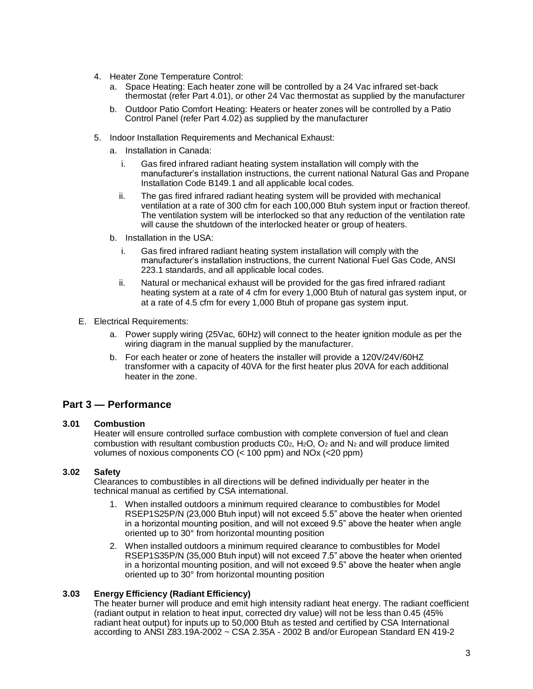- 4. Heater Zone Temperature Control:
	- a. Space Heating: Each heater zone will be controlled by a 24 Vac infrared set-back thermostat (refer Part 4.01), or other 24 Vac thermostat as supplied by the manufacturer
	- b. Outdoor Patio Comfort Heating: Heaters or heater zones will be controlled by a Patio Control Panel (refer Part 4.02) as supplied by the manufacturer
- 5. Indoor Installation Requirements and Mechanical Exhaust:
	- a. Installation in Canada:
		- i. Gas fired infrared radiant heating system installation will comply with the manufacturer's installation instructions, the current national Natural Gas and Propane Installation Code B149.1 and all applicable local codes.
		- ii. The gas fired infrared radiant heating system will be provided with mechanical ventilation at a rate of 300 cfm for each 100,000 Btuh system input or fraction thereof. The ventilation system will be interlocked so that any reduction of the ventilation rate will cause the shutdown of the interlocked heater or group of heaters.
	- b. Installation in the USA:
		- i. Gas fired infrared radiant heating system installation will comply with the manufacturer's installation instructions, the current National Fuel Gas Code, ANSI 223.1 standards, and all applicable local codes.
		- ii. Natural or mechanical exhaust will be provided for the gas fired infrared radiant heating system at a rate of 4 cfm for every 1,000 Btuh of natural gas system input, or at a rate of 4.5 cfm for every 1,000 Btuh of propane gas system input.
- E. Electrical Requirements:
	- a. Power supply wiring (25Vac, 60Hz) will connect to the heater ignition module as per the wiring diagram in the manual supplied by the manufacturer.
	- b. For each heater or zone of heaters the installer will provide a 120V/24V/60HZ transformer with a capacity of 40VA for the first heater plus 20VA for each additional heater in the zone.

## **Part 3 — Performance**

#### **3.01 Combustion**

Heater will ensure controlled surface combustion with complete conversion of fuel and clean combustion with resultant combustion products  $CO<sub>2</sub>$ , H<sub>2</sub>O,  $O<sub>2</sub>$  and N<sub>2</sub> and will produce limited volumes of noxious components CO (< 100 ppm) and NOx (<20 ppm)

## **3.02 Safety**

Clearances to combustibles in all directions will be defined individually per heater in the technical manual as certified by CSA international.

- 1. When installed outdoors a minimum required clearance to combustibles for Model RSEP1S25P/N (23,000 Btuh input) will not exceed 5.5" above the heater when oriented in a horizontal mounting position, and will not exceed 9.5" above the heater when angle oriented up to 30° from horizontal mounting position
- 2. When installed outdoors a minimum required clearance to combustibles for Model RSEP1S35P/N (35,000 Btuh input) will not exceed 7.5" above the heater when oriented in a horizontal mounting position, and will not exceed 9.5" above the heater when angle oriented up to 30° from horizontal mounting position

#### **3.03 Energy Efficiency (Radiant Efficiency)**

The heater burner will produce and emit high intensity radiant heat energy. The radiant coefficient (radiant output in relation to heat input, corrected dry value) will not be less than 0.45 (45% radiant heat output) for inputs up to 50,000 Btuh as tested and certified by CSA International according to ANSI Z83.19A-2002 ~ CSA 2.35A - 2002 B and/or European Standard EN 419-2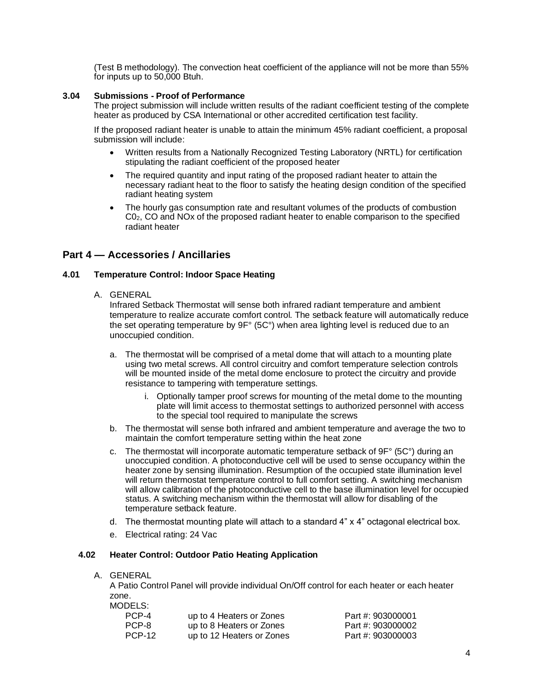(Test B methodology). The convection heat coefficient of the appliance will not be more than 55% for inputs up to 50,000 Btuh.

#### **3.04 Submissions - Proof of Performance**

The project submission will include written results of the radiant coefficient testing of the complete heater as produced by CSA International or other accredited certification test facility.

If the proposed radiant heater is unable to attain the minimum 45% radiant coefficient, a proposal submission will include:

- Written results from a Nationally Recognized Testing Laboratory (NRTL) for certification stipulating the radiant coefficient of the proposed heater
- The required quantity and input rating of the proposed radiant heater to attain the necessary radiant heat to the floor to satisfy the heating design condition of the specified radiant heating system
- The hourly gas consumption rate and resultant volumes of the products of combustion C02, CO and NOx of the proposed radiant heater to enable comparison to the specified radiant heater

## **Part 4 — Accessories / Ancillaries**

#### **4.01 Temperature Control: Indoor Space Heating**

A. GENERAL

Infrared Setback Thermostat will sense both infrared radiant temperature and ambient temperature to realize accurate comfort control. The setback feature will automatically reduce the set operating temperature by  $9F^{\circ}$  (5C°) when area lighting level is reduced due to an unoccupied condition.

- a. The thermostat will be comprised of a metal dome that will attach to a mounting plate using two metal screws. All control circuitry and comfort temperature selection controls will be mounted inside of the metal dome enclosure to protect the circuitry and provide resistance to tampering with temperature settings.
	- i. Optionally tamper proof screws for mounting of the metal dome to the mounting plate will limit access to thermostat settings to authorized personnel with access to the special tool required to manipulate the screws
- b. The thermostat will sense both infrared and ambient temperature and average the two to maintain the comfort temperature setting within the heat zone
- c. The thermostat will incorporate automatic temperature setback of  $9F^{\circ}$  (5C°) during an unoccupied condition. A photoconductive cell will be used to sense occupancy within the heater zone by sensing illumination. Resumption of the occupied state illumination level will return thermostat temperature control to full comfort setting. A switching mechanism will allow calibration of the photoconductive cell to the base illumination level for occupied status. A switching mechanism within the thermostat will allow for disabling of the temperature setback feature.
- d. The thermostat mounting plate will attach to a standard 4" x 4" octagonal electrical box.
- e. Electrical rating: 24 Vac

## **4.02 Heater Control: Outdoor Patio Heating Application**

A. GENERAL

A Patio Control Panel will provide individual On/Off control for each heater or each heater zone. MODELS:

| ノレ ー ー こ 、    |                           |                   |
|---------------|---------------------------|-------------------|
| PCP-4         | up to 4 Heaters or Zones  | Part #: 903000001 |
| PCP-8         | up to 8 Heaters or Zones  | Part #: 903000002 |
| <b>PCP-12</b> | up to 12 Heaters or Zones | Part #: 903000003 |